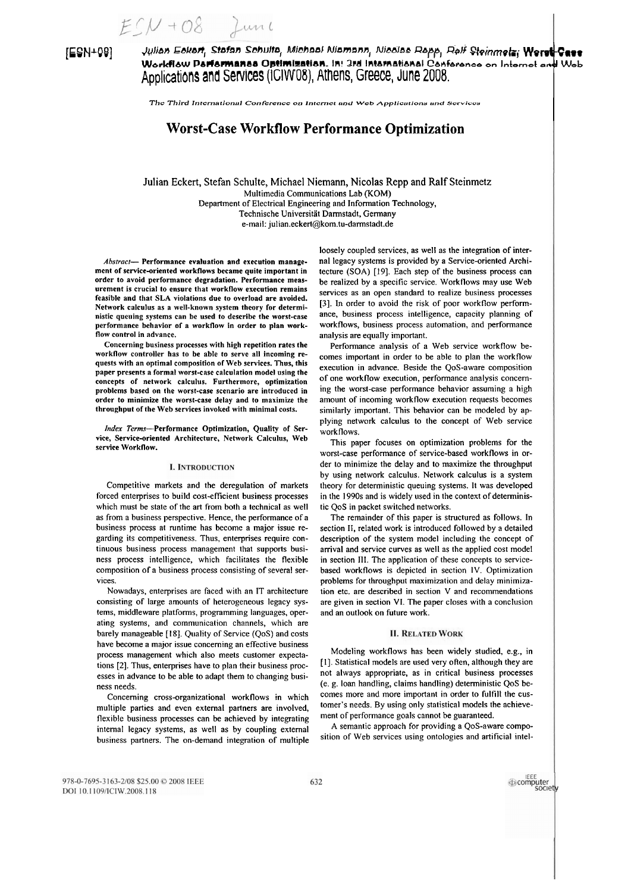$ESV + OS$  func

**IESN+091** 

Julian Eckart, Stafan Schulta, Michaal Niamann, Nicolas Rapp, Ralf Steinmetz; **Weret Caee** Workflow Parformance Optimization. In: 3rd International Conference on Internet and Web Applications and Services (ICIW08), Athens, Greece, June 2008.

The Third International Conference on Internet and Web Applications and Services

# **Worst-Case Workflow Performance Optimization**

Julian Eckert, Stefan Schulte, Michael Niemann, Nicolas Repp and Ralf Steinmetz Multimedia Communications Lab (KOM) Department of Electrical Engineering and Information Technology, Technische Universität Darmstadt, Germany e-mail: julian.eckert@kom.tu-darmstadt.de

Abstract- Performance evaluation and execution management of service-oriented workflows became quite important in order to avoid performance degradation. Performance measurement is crucial to ensure that workflow execution remains feasible and that SLA violations due to overload are avoided. Network calculus as a well-known system theory for deterministic queuing systems can be used to describe the worst-case performance behavior of a workflow in order to plan workflow control in advance.

Concerning business processes with high repetition rates the workflow controller has to be able to serve all incoming requests with an optimal composition of Web services. Thus, this paper presents a formal worst-case calculation model using the concepts of network calculus. Furthermore, optimization problems based on the worst-case scenario are introduced in order to minimize the worst-case delay and to maximize the throughput of the Web services invoked with minimal costs.

Index Terms-Performance Optimization, Quality of Service, Service-oriented Architecture, Network Calculus, Web service Workflow.

# **I. INTRODUCTION**

Competitive markets and the deregulation of markets forced enterprises to build cost-efficient business processes which must be state of the art from both a technical as well as from a business perspective. Hence, the performance of a business process at runtime has become a major issue regarding its competitiveness. Thus, enterprises require continuous business process management that supports business process intelligence, which facilitates the flexible composition of a business process consisting of several services.

Nowadays, enterprises are faced with an IT architecture consisting of large amounts of heterogeneous legacy systems, middleware platforms, programming languages, operating systems, and communication channels, which are barely manageable [18]. Quality of Service (QoS) and costs have become a major issue concerning an effective business process management which also meets customer expectations [2]. Thus, enterprises have to plan their business processes in advance to be able to adapt them to changing business needs.

Concerning cross-organizational workflows in which multiple parties and even external partners are involved, flexible business processes can be achieved by integrating internal legacy systems, as well as by coupling external business partners. The on-demand integration of multiple

loosely coupled services, as well as the integration of internal legacy systems is provided by a Service-oriented Architecture (SOA) [19]. Each step of the business process can be realized by a specific service. Workflows may use Web services as an open standard to realize business processes [3]. In order to avoid the risk of poor workflow performance, business process intelligence, capacity planning of workflows, business process automation, and performance analysis are equally important.

Performance analysis of a Web service workflow becomes important in order to be able to plan the workflow execution in advance. Beside the QoS-aware composition of one workflow execution, performance analysis concerning the worst-case performance behavior assuming a high amount of incoming workflow execution requests becomes similarly important. This behavior can be modeled by applying network calculus to the concept of Web service workflows.

This paper focuses on optimization problems for the worst-case performance of service-based workflows in order to minimize the delay and to maximize the throughput by using network calculus. Network calculus is a system theory for deterministic queuing systems. It was developed in the 1990s and is widely used in the context of deterministic OoS in packet switched networks.

The remainder of this paper is structured as follows. In section II, related work is introduced followed by a detailed description of the system model including the concept of arrival and service curves as well as the applied cost model in section III. The application of these concepts to servicebased workflows is depicted in section IV. Optimization problems for throughput maximization and delay minimization etc. are described in section V and recommendations are given in section VI. The paper closes with a conclusion and an outlook on future work.

#### **II. RELATED WORK**

Modeling workflows has been widely studied, e.g., in [1]. Statistical models are used very often, although they are not always appropriate, as in critical business processes (e. g. loan handling, claims handling) deterministic QoS becomes more and more important in order to fulfill the customer's needs. By using only statistical models the achievement of performance goals cannot be guaranteed.

A semantic approach for providing a QoS-aware composition of Web services using ontologies and artificial intel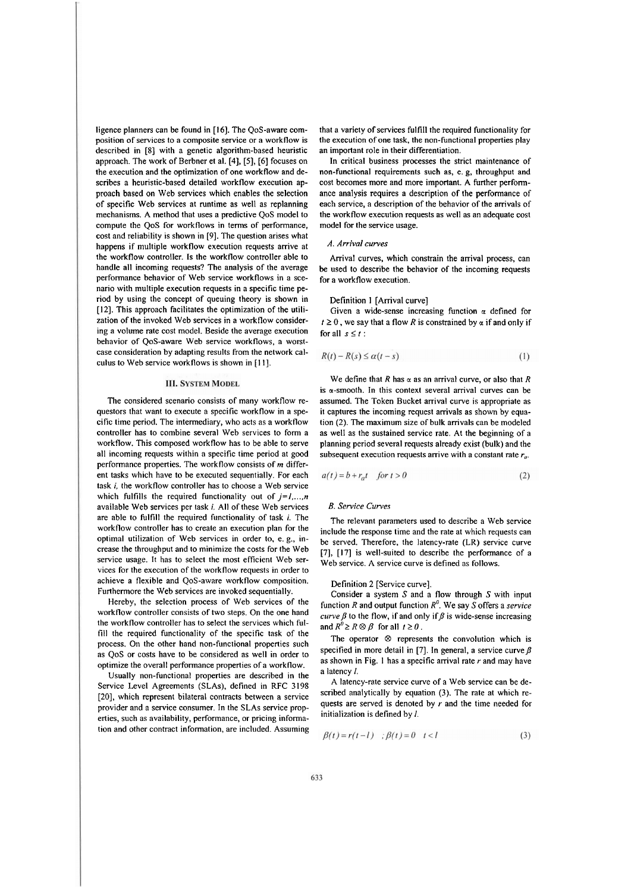ligence planners can be found in [16]. The QoS-aware composition of services to a composite service or a workflow is described in [8] with a genetic algorithm-based heuristic approach. The work of Berbner et al. [4], **[5],** [6] focuses on the execution and the optimization of one workflow and describes a heuristic-based detailed workflow execution approach based on Web services which enables the selection of specific Web services at runtime as well as replanning mechanisms. A method that uses a predictive QoS model to compute the QoS for workflows in terms of performance, cost and reliability is shown in [9]. The question arises what happens if multiple workflow execution requests arrive at the workflow controller. 1s the workflow controller able to handle all incoming requests? The analysis of the average performance behavior of Web service workflows in a scenario with multiple execution requests in a specific time period by using the concept of queuing theory is shown in [12]. This approach facilitates the optimization of the utilization of the invoked Web services in a workflow considering a volume rate cost model. Beside the average execution behavior of QoS-aware Web service workflows, a worstcase consideration by adapting results from the network calculus to Web service workflows is shown in [I I].

### **III. SYSTEM MODEL**

The considered scenario consists of many workflow requestors that Want to execute a specific workflow in a specific time period. The intermediary, who acts as a workflow controller has to combine several Web services to form a workflow. This composed workflow has to be able to serve all incoming requests within a specific time period at good performance properties. The workflow consists of **m** different tasks which have to be executed sequentially. For each task **i,** the workflow controller has to choose a Web service which fulfills the required functionality out of  $j=1,...,n$ available Web services per task **i.** All of these Web services are able to fulfill the required functionality of task *i*. The workflow controller has to create an execution plan for the optimal utilization of Web services in order to, e. g., increase the throughput and to minimize the costs for the Web service usage. It has to select the most efficient Web services for the execution of the workflow requests in order to achieve a flexible and QoS-aware workflow composition. Furthermore the Web services are invoked sequentially.

Hereby, the selection process of Web services of the workflow controller consists of two steps. On the one hand the workflow controller has to select the services which fulfill the required functionality of the specific task of the process. On the other hand non-functional properties such as QoS or costs have to be considered as well in order to optimize the overall performance properties of a workflow.

Usually non-functional properties are described in the Service Level Agreements (SLAs), defined in RFC 3198 [20], which represent bilateral contracts between a service provider and a service consumer. In the SLAs service properties, such as availability, performance, or pricing information and other contract information, are included. Assuming

that a variety of services fulfill the required functionality for the execution of one task, the non-functional properties play an important role in their differentiation.

In critical business processes the strict maintenance of non-functional requirements such as, e. g, throughput and cost becomes more and more important. A further performance analysis requires a description of the performance of each service, a description of the behavior of the arrivals of the workflow execution requests as well as an adequate cost model for the service usage.

# **A. Arrival** curves

Arrival curves, which constrain the arrival process, can be used to describe the behavior of the incoming requests for a workflow execution.

### Definition 1 [Arrival curve]

Given a wide-sense increasing function  $\alpha$  defined for  $t \ge 0$ , we say that a flow R is constrained by  $\alpha$  if and only if for all  $s \leq t$ :

$$
R(t) - R(s) \le \alpha(t - s) \tag{1}
$$

We define that R has  $\alpha$  as an arrival curve, or also that R is  $\alpha$ -smooth. In this context several arrival curves can be assumed. The Token Bucket arrival curve is appropriate as it captures the incoming request arrivals as shown by equation (2). The maximum size of bulk arrivals can be modeled as well as the sustained service rate. At the beginning of a planning period several requests already exist (bulk) and the subsequent execution requests arrive with a constant rate  $r_a$ .

$$
a(t) = b + r_a t \quad \text{for } t > 0 \tag{2}
$$

# B. Service Curves

The relevant parameters used to describe a Web service include the response time and the rate at which requests can be served. Therefore, the latency-rate (LR) service curve [7], [17] is well-suited to describe the performance of a Web service. A service curve is defined as follows.

# Definition 2 [Service curve].

Consider a system  $S$  and a flow through  $S$  with input function R and output function  $R^0$ . We say S offers a service curve  $\beta$  to the flow, if and only if  $\beta$  is wide-sense increasing and  $R^0 \ge R \otimes \beta$  for all  $t \ge 0$ .

The operator  $\otimes$  represents the convolution which is specified in more detail in [7]. In general, a service curve  $\beta$ as shown in Fig. I has a specific arrival rate **r** and may have a latency I.

A latency-rate service curve of a Web service can be described analytically by equation (3). The rate at which requests are served is denoted by **r** and the time needed for initialization is defined by I.

$$
\beta(t) = r(t - l) \quad ; \beta(t) = 0 \quad t < l \tag{3}
$$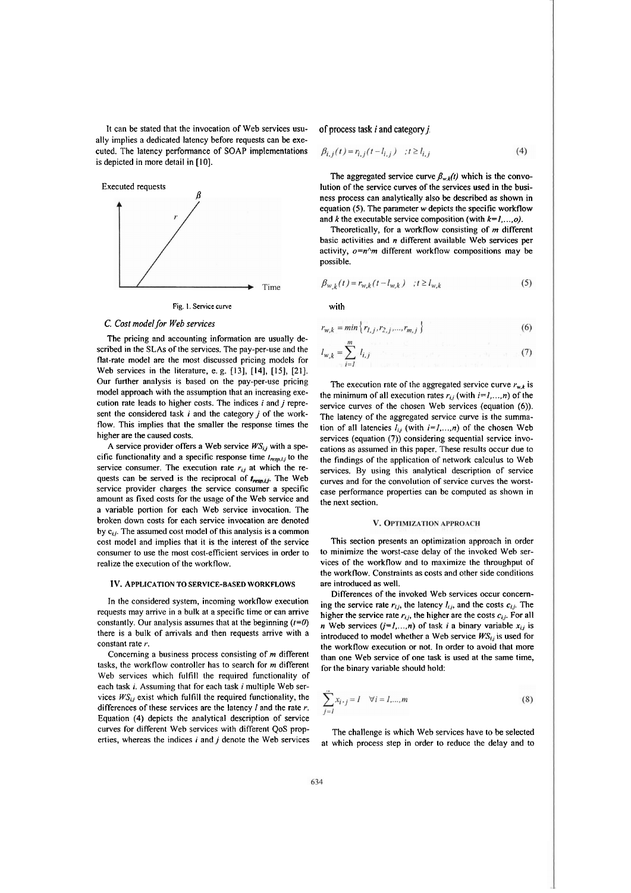It can be stated that the invocation of Web services usually implies a dedicated latency before requests can be executed. The latency performance of SOAP implementations is depicted in more detail in [IO].



*Fig. I. Service ciirve* 

# C. Cost model for Web services

The pricing and accounting information are usually described in the SLAs of the services. The pay-per-use and the flat-rate model are the most discussed pricing models for Web services in the literature, e. g. [13], [14], [15], [21]. Our further analysis is based on the pay-per-use pricing model approach with the assumption that an increasing execution rate leads to higher costs. The indices  $i$  and  $j$  represent the considered task **i** and the category j of the workflow. This implies that the smaller the response times the higher are the caused costs.

A service provider offers a Web service  $WS_{i,j}$  with a specific functionality and a specific response time  $t_{resp,i,j}$  to the service consumer. The execution rate  $r_{i,j}$  at which the requests can be served is the reciprocal of  $t_{resp.ij}$ . The Web service provider charges the service consumer a specific amount as fixed costs for the usage of the Web service and a variable portion for each Web service invocation. The broken down costs for each service invocation are denoted by  $c_{i,j}$ . The assumed cost model of this analysis is a common cost model and implies that it is the interest of the service consumer to use the most cost-efficient services in order to realize the execution of the workflow.

# **IV. APPLICATION T0 SERVICE-BASED WORKFLOWS**

In the considered System, incoming workflow execution requests may arrive in a bulk at a specific time or can arrive constantly. Our analysis assumes that at the beginning  $(t=0)$ there is a bulk of arrivals and then requests arrive with a constant rate **r.** 

Concerning a business process consisting of **m** different tasks, the workflow controller has to search for m different Web services which fulfill the required functionality of each task  $i$ . Assuming that for each task  $i$  multiple Web services  $WS_{ii}$  exist which fulfill the required functionality, the differences of these services are the latency I and the rate **r.**  Equation (4) depicts the analytical description of service curves for different Web services with different QoS properties, whereas the indices  $i$  and  $j$  denote the Web services

# of process task i and category j.

$$
\beta_{i,j}(t) = r_{i,j}(t - l_{i,j}) \quad ; t \ge l_{i,j} \tag{4}
$$

The aggregated service curve  $\beta_{w,k}(t)$  which is the convolution of the service curves of the services used in the business process can analytically also be described as shown in equation (5). The parameter w depicts the specific workflow and k the executable service composition (with  $k=1,..., o$ ).

Theoretically, for a workflow consisting of  $m$  different basic activities and  $n$  different available Web services per activity,  $o=n/m$  different workflow compositions may be possible.

$$
\beta_{w,k}(t) = r_{w,k}(t - l_{w,k}) \quad ; t \ge l_{w,k} \tag{5}
$$

with

$$
r_{w,k} = \min \{ r_{1,j}, r_{2,j}, \dots, r_{m,j} \}
$$
 (6)

$$
I_{w,k} = \sum_{i=1}^{m} I_{i,j} \tag{7}
$$

The execution rate of the aggregated service curve  $r_{w,k}$  is the minimum of all execution rates  $r_{i,j}$  (with  $i=1,...,n$ ) of the service curves of the chosen Web services (equation (6)). The latency of the aggregated service curve is the summation of all latencies  $I_{i,j}$  (with  $i=1,...,n$ ) of the chosen Web services (equation (7)) considering sequential service invocations as assumed in this paper. These results occur due to the findings of the application of network calculus to Web services. By using this analytical description of service curves and for the convolution of service curves the worstcase performance properties can be computed as shown in the next section.

### V. OPTIMIZATION APPROACH

This section presents an optimization approach in order to minimize the worst-case delay of the invoked Web services of the workflow and to maximize the throughput of the workflow. Constraints as costs and other side conditions are introduced as well.

Differences of the invoked Web services occur concerning the service rate  $r_{ij}$ , the latency  $l_{ij}$ , and the costs  $c_{ij}$ . The higher the service rate  $r_{i,j}$ , the higher are the costs  $c_{i,j}$ . For all n Web services  $(j=1,...,n)$  of task *i* a binary variable  $x_{i,j}$  is introduced to model whether a Web service  $WS_{i,j}$  is used for the workflow execution or not. In order to avoid that more than one Web service of one task is used at the same time, for the binary variable should hold:

$$
\sum_{j=1}^{n} x_{i+j} = I \quad \forall i = 1,...,m
$$
\n(8)

The challenge is which Web services have to be selected at which process step in order to reduce the delay and to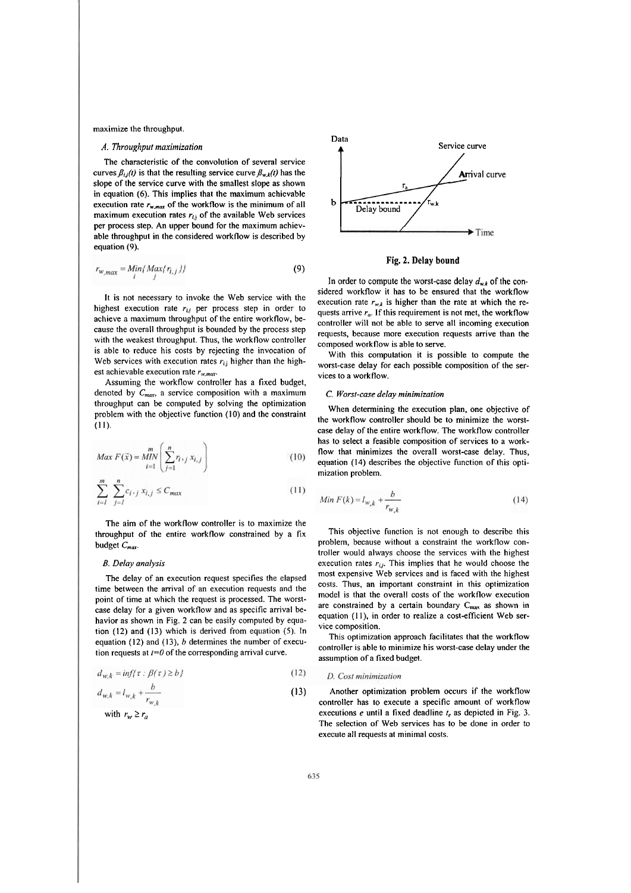maximize the throughput.

# **A.** Throughput maximization

The characteristic of the convolution of several service curves  $\beta_{i,j}(t)$  is that the resulting service curve  $\beta_{w,k}(t)$  has the slope of the service curve with the smallest slope as shown in equation (6). This implies that the maximum achievable execution rate  $r_{w,max}$  of the workflow is the minimum of all b maximum execution rates  $r_{ij}$  of the available Web services per process step. An upper bound for the maximum achievable throughput in the considered workflow is described by equation (9).

$$
r_{w,max} = Min\{Max\{r_{i,j}\}\}\tag{9}
$$

It is not necessary to invoke the Web service with the highest execution rate  $r_{i,j}$  per process step in order to achieve a maximum throughput of the entire workflow, because the overall throughput is bounded by the process step with the weakest throughput. Thus, the workflow controller is able to reduce his costs by rejecting the invocation of Web services with execution rates  $r_{i,j}$  higher than the highest achievable execution rate  $r_{w,max}$ .

Assuming the workflow controller has a fixed budget, denoted by  $C_{max}$ , a service composition with a maximum throughput can be computed by solving the optimization problem with the objective function (10) and the constraint  $(11)$ .

$$
Max F(\vec{x}) = \frac{mn}{i} \left( \sum_{j=1}^{n} r_{i,j} x_{i,j} \right)
$$
 (10)

$$
\sum_{i=1}^{m} \sum_{j=1}^{n} c_{i,j} x_{i,j} \le C_{max}
$$
 (11)

The aim of ihe workflow controller is to maximize the throughput of the entire workflow constrained by a fix budget  $C_{\textit{max}}$ .

### **B. Delay analysis**

The delay of an execution request specifies the elapsed time between the arrival of an execution requests and the point of time at which the request is processed. The worstcase delay for a given workflow and as specific arrival behavior as shown in Fig. 2 can be easily computed by equation (12) and (13) which is derived from equation (5). In equation (12) and (13),  $b$  determines the number of execution requests at **r=O** of the corresponding arrival curve.

$$
d_{w,k} = \inf \{ \tau : \beta(\tau) \ge b \}
$$
\n
$$
d_{w,k} = l_{w,k} + \frac{b}{\beta(\tau)} \tag{12}
$$

with 
$$
r_w \ge r_a
$$

 $r_{w,k}$ 



Fig. 2. Delay bound

In order to compute the worst-case delay  $d_{w,k}$  of the considered workflow it has to be ensured that the workflow execution rate  $r_{w,k}$  is higher than the rate at which the requests arrive  $r_a$ . If this requirement is not met, the workflow controller will not be able to serve all incoming execution requests, because more execution requests arrive than the composed workflow is able to serve.

With this computation it is possible to compute the worst-case delay for each possible composition of the services to a workflow.

# **C.** Worst-case delay minimization

When determining the execution plan, one objective of the workflow controller should be to minimize the worstcase delay of the entire workflow. The workflow controller has to select a feasible composition of services to a workflow that minimizes the overall worst-case delay. Thus, equation (14) describes the objective function of this optimization problem.

$$
Min F(k) = l_{w,k} + \frac{b}{r_{w,k}}
$$
\n(14)

This objective function is not enough to describe this problem, because without a constraint the workflow controller would always choose the services with the highest execution rates  $r_{ij}$ . This implies that he would choose the most expensive Web Services and is faced with the highest costs. Thus, an important constraint in this optimization model is that the overall costs of the workflow execution are constrained by a certain boundary C<sub>max</sub> as shown in equation (11), in order to realize a cost-efficient Web service composition.

This optimization approach facilitates that the workflow controller is able to minimize his worst-case delay under the assumption of a fixed budget.

### D. Cost minimization

Another optimization problem occurs if the workflow controller has to execute a specific amount of workflow executions **e** until a fixed deadline **I,** as depicted in Fig. 3. The selection of Web services has to be done in order to execute all requests at minimal costs.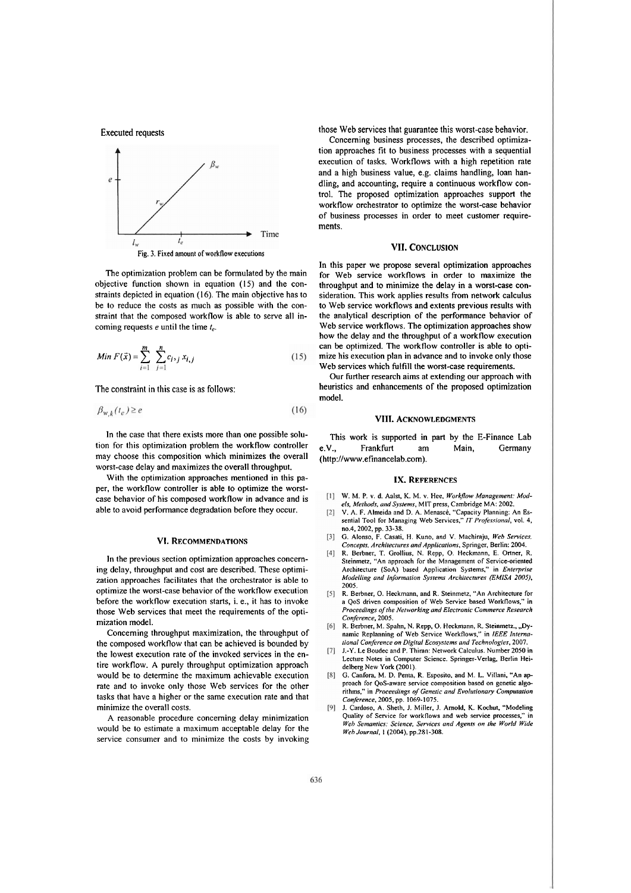Executed requests



The optimization problem can be formulated by the main objective function shown in equation (15) and the constraints depicted in equation (16). The main objective has to be to reduce the costs as much as possible with the constraint that the composed workflow is able to serve all incoming requests e until the time  $t_e$ .

Min 
$$
F(\vec{x}) = \sum_{i=1}^{m} \sum_{j=1}^{n} c_{i,j} x_{i,j}
$$
 (15)

The constraint in this case is as follows:

$$
\beta_{w,k}(t_e) \ge e \tag{16}
$$

In the case that there exists more than one possible solution for this optimization problem the workflow controller may choose this composition which minimizes the overall worst-case delay and maximizes the overall throughput.

With the optimization approaches mentioned in this paper, the workflow controller is able to optimize the worstcase behavior of his composed workflow in advance and is able to avoid performance degradation before they occur.

### **VI. RECOMMENDATIONS**

In the previous section optimization approaches concerning delay, throughput and cost are described. These optimization approaches facilitates that the orchestrator is able to optimize the worst-case behavior of the workflow execution before the workflow execution Starts, i. e., it has to invoke those Web services that meet the requirements of the optimization model.

Concerning throughput maximization, the throughput of the composed workflow that can be achieved is bounded by the lowest execution rate of the invoked services in the entire workflow. **A** purely throughput optimization approach would be to determine the maximum achievable execution rate and to invoke only those Web services for the other tasks that have a higher or the Same execution rate and that minimize the overall costs.

A reasonable procedure conceming delay minimization would be to estimate a maximum acceptable delay for the service consumer and to minimize the costs by invoking those Web services that guarantee this worst-case behavior.

Conceming business processes, ihe described optimization approaches fit to business processes with a sequential execotion of tasks. Workflows with a high repetition rate and a high business value, e.g. claims handling, loan handling, and accounting, require a continuous workflow control. The proposed optimization approaches Support the workflow orchestrator to optimize the worst-case behavior of business processes in order to meet customer requirements.

# **VII. CONCLUSION**

In this paper we propose several optimization approaches for Web service workflows in order to maximize the throughput and to minimize the delay in a worst-case consideration. This work applies results from network calculus to Web service workflows and extents previous results with the analytical description of the performance behavior of Web service workflows. The optimization approaches show how the delay and the throughput of a workflow execution can be optimized. The workflow controller is able to optimize his execution plan in advance and to invoke only those Web services which fulfill the worst-case requirements.

Our further research aims at extending our approach with heuristics and enhancements of the proposed optimization model.

# **VIII. ACKNOWLEDCMENTS**

This work is supported in part by the E-Finance Lab e.V., Frankfurt am Main, Germany (http://www.efinancelab.com).

# **IX. REFERENCES**

- [1] W. M. P. v. d. Aalst, K. M. v. Hee, Workflow Management: Mod*els. Merhods, uridSysrems,* MIT press, Cambridge MA: 2002.
- V. A. F. Almeida and D. A. Menasce, "Capacity Planning: An Es- $[2]$ sential Tool for Managing Web Services," IT Professional, vol. 4, no.4.2002, pp. **33-38.**
- G. Alonso, F. Casati, H. Kuno, and V. Machiraju, *Web Services*.  $\lceil 3 \rceil$ *Conceprs. Arclrirectr~res andApp1icurion.s.* Springer, Berlin: 2004.
- R. Berbner, T. Grollius, N. Repp, O. Heckmann, E. Ortner, R.<br>Steinmetz, "An approach for the Management of Service-oriented  $[4]$ Archiiecture (SoA) based Application Systems." in *Enterprise Modelling and Information Systems Architectures (EMISA 2005)*, 2005.
- R. Berbner, 0. Heckmann, and R. Steinmetz, "An Archiieciure for  $[5]$ a OoS driven composition of Web Service based Workflows," in **Proceedings of the Networking and Electronic Commerce Research** *Co~flerence,* ZOOS.
- R. Berbner, M. Spahn, N. Repp. O. Heckmann, R. Steinmetz., "Dy- $[6]$ namic Replanning of Web Service Workflows," in *IEEE Interna iionul ConJererice on Digirul Ecosysrems und Technologies,* 2007.
- **J.-Y.** Le Boudec and P. Thiran: Network Calculus. Number 2050 in  $[7]$ Lechire Notes in Computer Science. Springer-Verlag. Berlin Heidelberg New York (2001).
- $[8]$ G. Canfora, M. D. Penta, R. Esposito. and M. L. Villani. "An approach for QoS-aware service composition based on genetic alsorithms," in *Proceedings of Genetic and Evolutionary Computation Conkrence.* 2005, pp. 1069- 1075.
- J. Cardoso, A. Sheth. J. Miller, J. Amold. K. Kochut. "Modeling  $[9]$ Quality of Service for workflows and web service processes," in *Weh Semantics: Science. Sewicer und Agents on rhe World Wide Weh Jorrrnal.* **1** (2004). pp.28 1-308.